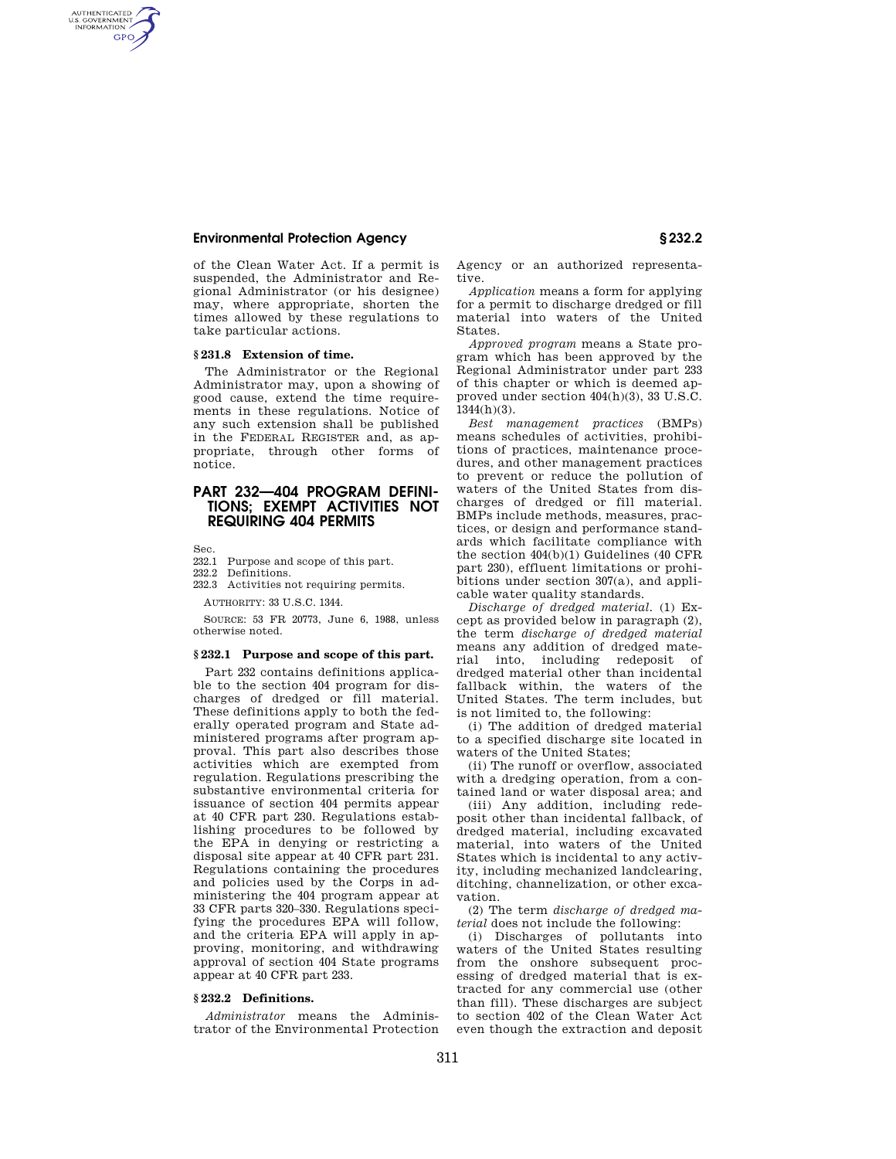## **Environmental Protection Agency § 232.2**

of the Clean Water Act. If a permit is suspended, the Administrator and Regional Administrator (or his designee) may, where appropriate, shorten the times allowed by these regulations to take particular actions.

## **§ 231.8 Extension of time.**

The Administrator or the Regional Administrator may, upon a showing of good cause, extend the time requirements in these regulations. Notice of any such extension shall be published in the FEDERAL REGISTER and, as appropriate, through other forms of notice.

# **PART 232—404 PROGRAM DEFINI-TIONS; EXEMPT ACTIVITIES NOT REQUIRING 404 PERMITS**

Sec.

AUTHENTICATED<br>U.S. GOVERNMENT<br>INFORMATION **GPO** 

- 232.1 Purpose and scope of this part.<br>232.2 Definitions
- Definitions.
- 232.3 Activities not requiring permits.

AUTHORITY: 33 U.S.C. 1344.

SOURCE: 53 FR 20773, June 6, 1988, unless otherwise noted.

#### **§ 232.1 Purpose and scope of this part.**

Part 232 contains definitions applicable to the section 404 program for discharges of dredged or fill material. These definitions apply to both the federally operated program and State administered programs after program approval. This part also describes those activities which are exempted from regulation. Regulations prescribing the substantive environmental criteria for issuance of section 404 permits appear at 40 CFR part 230. Regulations establishing procedures to be followed by the EPA in denying or restricting a disposal site appear at 40 CFR part 231. Regulations containing the procedures and policies used by the Corps in administering the 404 program appear at 33 CFR parts 320–330. Regulations specifying the procedures EPA will follow, and the criteria EPA will apply in approving, monitoring, and withdrawing approval of section 404 State programs appear at 40 CFR part 233.

### **§ 232.2 Definitions.**

*Administrator* means the Administrator of the Environmental Protection Agency or an authorized representative.

*Application* means a form for applying for a permit to discharge dredged or fill material into waters of the United States.

*Approved program* means a State program which has been approved by the Regional Administrator under part 233 of this chapter or which is deemed approved under section 404(h)(3), 33 U.S.C.  $1344(h)(3)$ .

*Best management practices* (BMPs) means schedules of activities, prohibitions of practices, maintenance procedures, and other management practices to prevent or reduce the pollution of waters of the United States from discharges of dredged or fill material. BMPs include methods, measures, practices, or design and performance standards which facilitate compliance with the section 404(b)(1) Guidelines (40 CFR part 230), effluent limitations or prohibitions under section 307(a), and applicable water quality standards.

*Discharge of dredged material.* (1) Except as provided below in paragraph (2), the term *discharge of dredged material*  means any addition of dredged material into, including redeposit of dredged material other than incidental fallback within, the waters of the United States. The term includes, but is not limited to, the following:

(i) The addition of dredged material to a specified discharge site located in waters of the United States;

(ii) The runoff or overflow, associated with a dredging operation, from a contained land or water disposal area; and

(iii) Any addition, including redeposit other than incidental fallback, of dredged material, including excavated material, into waters of the United States which is incidental to any activity, including mechanized landclearing, ditching, channelization, or other excavation.

(2) The term *discharge of dredged material* does not include the following:

(i) Discharges of pollutants into waters of the United States resulting from the onshore subsequent processing of dredged material that is extracted for any commercial use (other than fill). These discharges are subject to section 402 of the Clean Water Act even though the extraction and deposit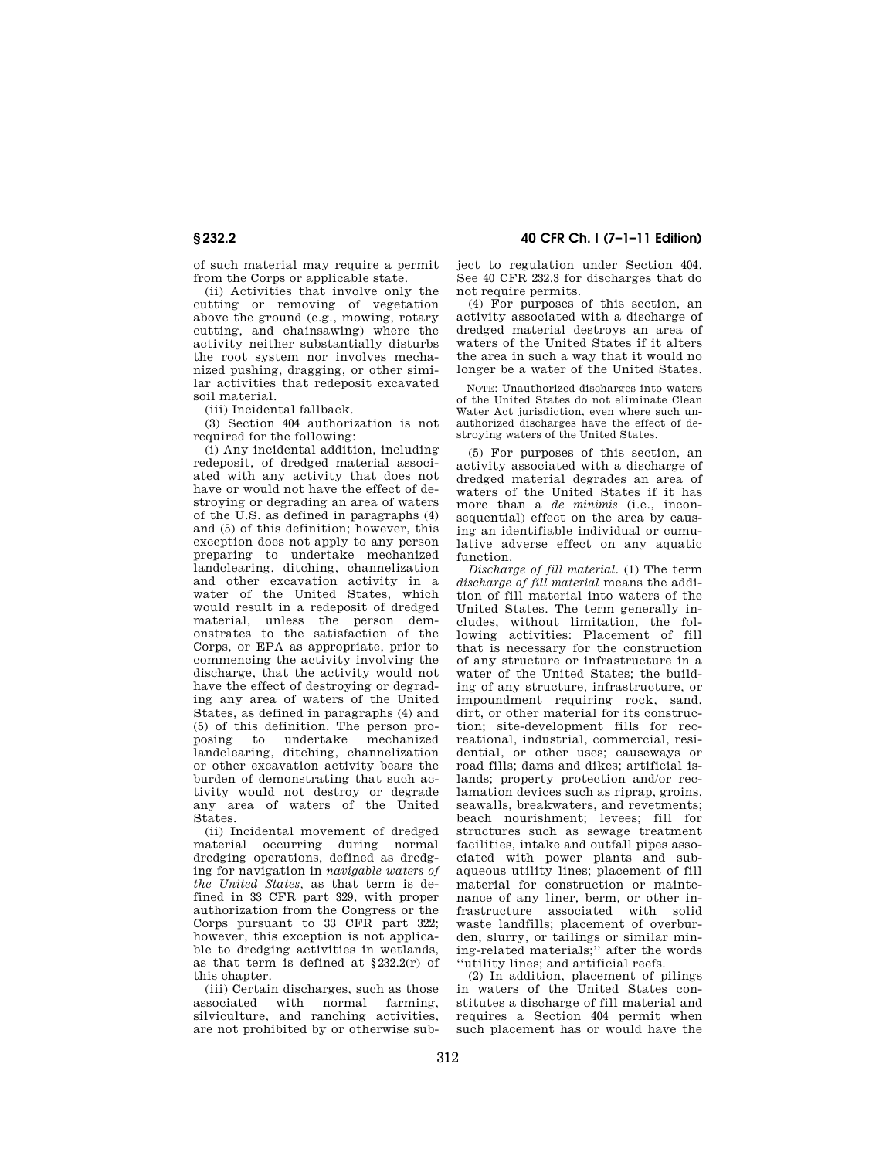# **§ 232.2 40 CFR Ch. I (7–1–11 Edition)**

of such material may require a permit from the Corps or applicable state.

(ii) Activities that involve only the cutting or removing of vegetation above the ground (e.g., mowing, rotary cutting, and chainsawing) where the activity neither substantially disturbs the root system nor involves mechanized pushing, dragging, or other similar activities that redeposit excavated soil material.

(iii) Incidental fallback.

(3) Section 404 authorization is not required for the following:

(i) Any incidental addition, including redeposit, of dredged material associated with any activity that does not have or would not have the effect of destroying or degrading an area of waters of the U.S. as defined in paragraphs (4) and (5) of this definition; however, this exception does not apply to any person preparing to undertake mechanized landclearing, ditching, channelization and other excavation activity in a water of the United States, which would result in a redeposit of dredged material, unless the person demonstrates to the satisfaction of the Corps, or EPA as appropriate, prior to commencing the activity involving the discharge, that the activity would not have the effect of destroying or degrading any area of waters of the United States, as defined in paragraphs (4) and (5) of this definition. The person proposing to undertake mechanized landclearing, ditching, channelization or other excavation activity bears the burden of demonstrating that such activity would not destroy or degrade any area of waters of the United **States** 

(ii) Incidental movement of dredged material occurring during normal dredging operations, defined as dredging for navigation in *navigable waters of the United States,* as that term is defined in 33 CFR part 329, with proper authorization from the Congress or the Corps pursuant to 33 CFR part 322; however, this exception is not applicable to dredging activities in wetlands, as that term is defined at §232.2(r) of this chapter.

(iii) Certain discharges, such as those associated with normal farming, silviculture, and ranching activities, are not prohibited by or otherwise subject to regulation under Section 404. See 40 CFR 232.3 for discharges that do not require permits.

(4) For purposes of this section, an activity associated with a discharge of dredged material destroys an area of waters of the United States if it alters the area in such a way that it would no longer be a water of the United States.

NOTE: Unauthorized discharges into waters of the United States do not eliminate Clean Water Act jurisdiction, even where such unauthorized discharges have the effect of destroying waters of the United States.

(5) For purposes of this section, an activity associated with a discharge of dredged material degrades an area of waters of the United States if it has more than a *de minimis* (i.e., inconsequential) effect on the area by causing an identifiable individual or cumulative adverse effect on any aquatic function.

*Discharge of fill material.* (1) The term *discharge of fill material* means the addition of fill material into waters of the United States. The term generally includes, without limitation, the following activities: Placement of fill that is necessary for the construction of any structure or infrastructure in a water of the United States; the building of any structure, infrastructure, or impoundment requiring rock, sand, dirt, or other material for its construction; site-development fills for recreational, industrial, commercial, residential, or other uses; causeways or road fills; dams and dikes; artificial islands; property protection and/or reclamation devices such as riprap, groins, seawalls, breakwaters, and revetments; beach nourishment; levees; fill for structures such as sewage treatment facilities, intake and outfall pipes associated with power plants and subaqueous utility lines; placement of fill material for construction or maintenance of any liner, berm, or other infrastructure associated with solid waste landfills; placement of overburden, slurry, or tailings or similar mining-related materials;'' after the words ''utility lines; and artificial reefs.

(2) In addition, placement of pilings in waters of the United States constitutes a discharge of fill material and requires a Section 404 permit when such placement has or would have the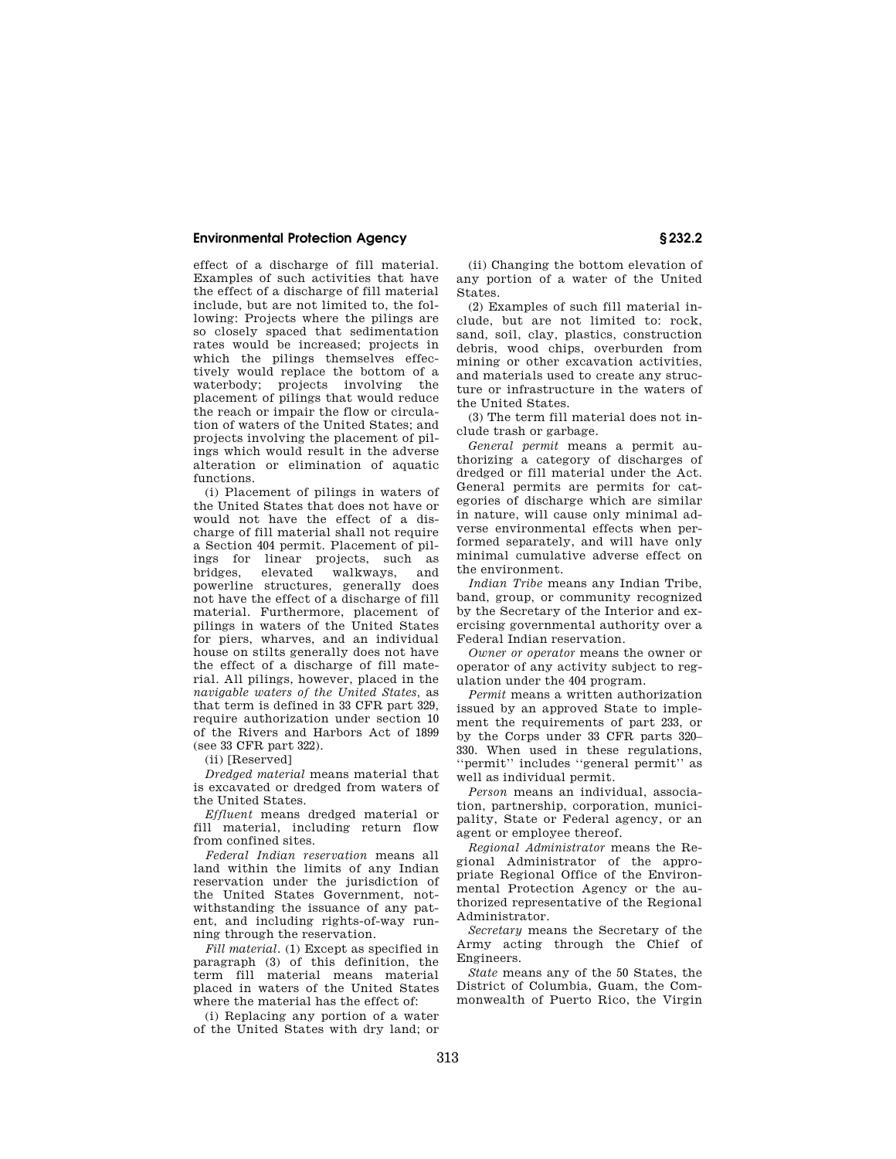## **Environmental Protection Agency § 232.2**

effect of a discharge of fill material. Examples of such activities that have the effect of a discharge of fill material include, but are not limited to, the following: Projects where the pilings are so closely spaced that sedimentation rates would be increased; projects in which the pilings themselves effectively would replace the bottom of a waterbody; projects involving the placement of pilings that would reduce the reach or impair the flow or circulation of waters of the United States; and projects involving the placement of pilings which would result in the adverse alteration or elimination of aquatic functions.

(i) Placement of pilings in waters of the United States that does not have or would not have the effect of a discharge of fill material shall not require a Section 404 permit. Placement of pilings for linear projects, such as bridges, elevated walkways, powerline structures, generally does not have the effect of a discharge of fill material. Furthermore, placement of pilings in waters of the United States for piers, wharves, and an individual house on stilts generally does not have the effect of a discharge of fill material. All pilings, however, placed in the *navigable waters of the United States,* as that term is defined in 33 CFR part 329, require authorization under section 10 of the Rivers and Harbors Act of 1899 (see 33 CFR part 322).

(ii) [Reserved]

*Dredged material* means material that is excavated or dredged from waters of the United States.

*Effluent* means dredged material or fill material, including return flow from confined sites.

*Federal Indian reservation* means all land within the limits of any Indian reservation under the jurisdiction of the United States Government, notwithstanding the issuance of any patent, and including rights-of-way running through the reservation.

*Fill material.* (1) Except as specified in paragraph (3) of this definition, the term fill material means material placed in waters of the United States where the material has the effect of:

(i) Replacing any portion of a water of the United States with dry land; or

(ii) Changing the bottom elevation of any portion of a water of the United States.

(2) Examples of such fill material include, but are not limited to: rock, sand, soil, clay, plastics, construction debris, wood chips, overburden from mining or other excavation activities, and materials used to create any structure or infrastructure in the waters of the United States.

(3) The term fill material does not include trash or garbage.

*General permit* means a permit authorizing a category of discharges of dredged or fill material under the Act. General permits are permits for categories of discharge which are similar in nature, will cause only minimal adverse environmental effects when performed separately, and will have only minimal cumulative adverse effect on the environment.

*Indian Tribe* means any Indian Tribe, band, group, or community recognized by the Secretary of the Interior and exercising governmental authority over a Federal Indian reservation.

*Owner or operator* means the owner or operator of any activity subject to regulation under the 404 program.

*Permit* means a written authorization issued by an approved State to implement the requirements of part 233, or by the Corps under 33 CFR parts 320– 330. When used in these regulations, ''permit'' includes ''general permit'' as well as individual permit.

*Person* means an individual, association, partnership, corporation, municipality, State or Federal agency, or an agent or employee thereof.

*Regional Administrator* means the Regional Administrator of the appropriate Regional Office of the Environmental Protection Agency or the authorized representative of the Regional Administrator.

*Secretary* means the Secretary of the Army acting through the Chief of Engineers.

*State* means any of the 50 States, the District of Columbia, Guam, the Commonwealth of Puerto Rico, the Virgin